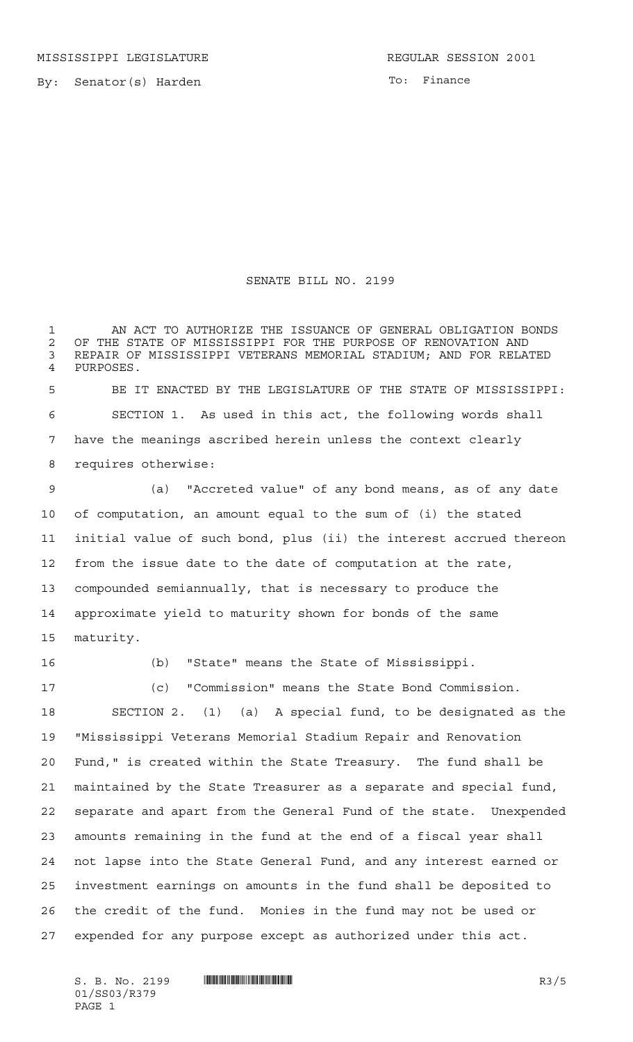To: Finance

## SENATE BILL NO. 2199

 AN ACT TO AUTHORIZE THE ISSUANCE OF GENERAL OBLIGATION BONDS 2 OF THE STATE OF MISSISSIPPI FOR THE PURPOSE OF RENOVATION AND<br>3 REPAIR OF MISSISSIPPI VETERANS MEMORIAL STADIUM: AND FOR RELA' REPAIR OF MISSISSIPPI VETERANS MEMORIAL STADIUM; AND FOR RELATED PURPOSES. BE IT ENACTED BY THE LEGISLATURE OF THE STATE OF MISSISSIPPI: SECTION 1. As used in this act, the following words shall have the meanings ascribed herein unless the context clearly requires otherwise: (a) "Accreted value" of any bond means, as of any date of computation, an amount equal to the sum of (i) the stated initial value of such bond, plus (ii) the interest accrued thereon from the issue date to the date of computation at the rate, compounded semiannually, that is necessary to produce the approximate yield to maturity shown for bonds of the same maturity.

(b) "State" means the State of Mississippi.

 (c) "Commission" means the State Bond Commission. SECTION 2. (1) (a) A special fund, to be designated as the "Mississippi Veterans Memorial Stadium Repair and Renovation Fund," is created within the State Treasury. The fund shall be maintained by the State Treasurer as a separate and special fund, separate and apart from the General Fund of the state. Unexpended amounts remaining in the fund at the end of a fiscal year shall not lapse into the State General Fund, and any interest earned or investment earnings on amounts in the fund shall be deposited to the credit of the fund. Monies in the fund may not be used or expended for any purpose except as authorized under this act.

 $S. B. No. 2199$   $\blacksquare$   $\blacksquare$   $\blacksquare$   $\blacksquare$   $\blacksquare$   $\blacksquare$   $\blacksquare$   $\blacksquare$   $\blacksquare$   $\blacksquare$   $\blacksquare$   $\blacksquare$   $\blacksquare$   $\blacksquare$   $\blacksquare$   $\blacksquare$   $\blacksquare$   $\blacksquare$   $\blacksquare$   $\blacksquare$   $\blacksquare$   $\blacksquare$   $\blacksquare$   $\blacksquare$   $\blacksquare$   $\blacksquare$   $\blacksquare$   $\blacksquare$   $\blacksquare$   $\blacks$ 01/SS03/R379 PAGE 1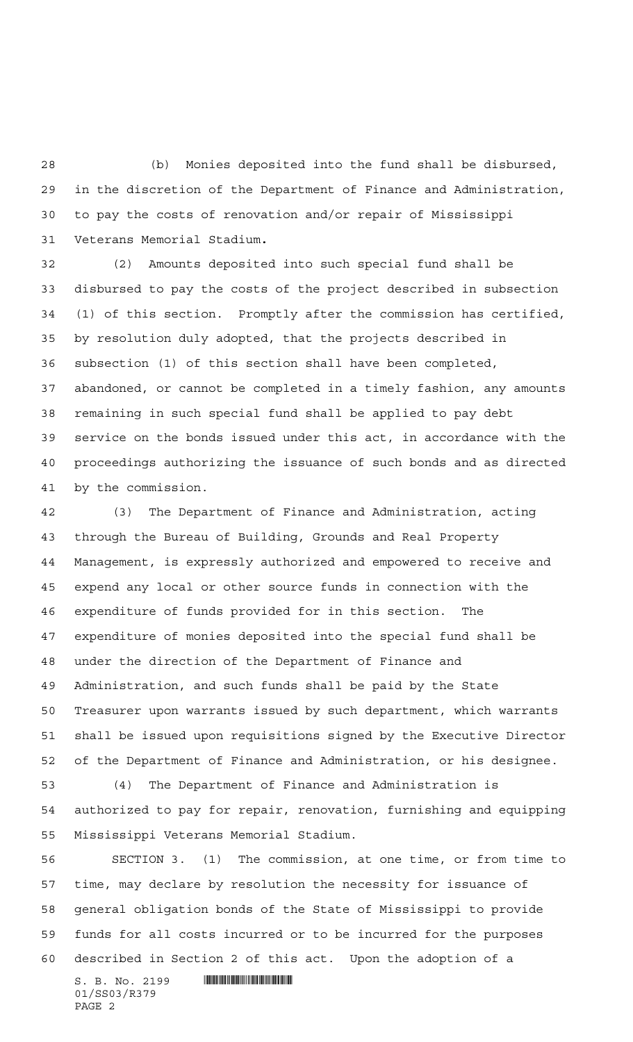(b) Monies deposited into the fund shall be disbursed, in the discretion of the Department of Finance and Administration, to pay the costs of renovation and/or repair of Mississippi Veterans Memorial Stadium**.**

 (2) Amounts deposited into such special fund shall be disbursed to pay the costs of the project described in subsection (1) of this section. Promptly after the commission has certified, by resolution duly adopted, that the projects described in subsection (1) of this section shall have been completed, abandoned, or cannot be completed in a timely fashion, any amounts remaining in such special fund shall be applied to pay debt service on the bonds issued under this act, in accordance with the proceedings authorizing the issuance of such bonds and as directed by the commission.

 (3) The Department of Finance and Administration, acting through the Bureau of Building, Grounds and Real Property Management, is expressly authorized and empowered to receive and expend any local or other source funds in connection with the expenditure of funds provided for in this section. The expenditure of monies deposited into the special fund shall be under the direction of the Department of Finance and Administration, and such funds shall be paid by the State Treasurer upon warrants issued by such department, which warrants shall be issued upon requisitions signed by the Executive Director of the Department of Finance and Administration, or his designee.

 (4) The Department of Finance and Administration is authorized to pay for repair, renovation, furnishing and equipping Mississippi Veterans Memorial Stadium.

 SECTION 3. (1) The commission, at one time, or from time to time, may declare by resolution the necessity for issuance of general obligation bonds of the State of Mississippi to provide funds for all costs incurred or to be incurred for the purposes described in Section 2 of this act. Upon the adoption of a

 $S. B. No. 2199$  . The set of  $\mathbb S$  and  $S. S. S. S.$ 01/SS03/R379 PAGE 2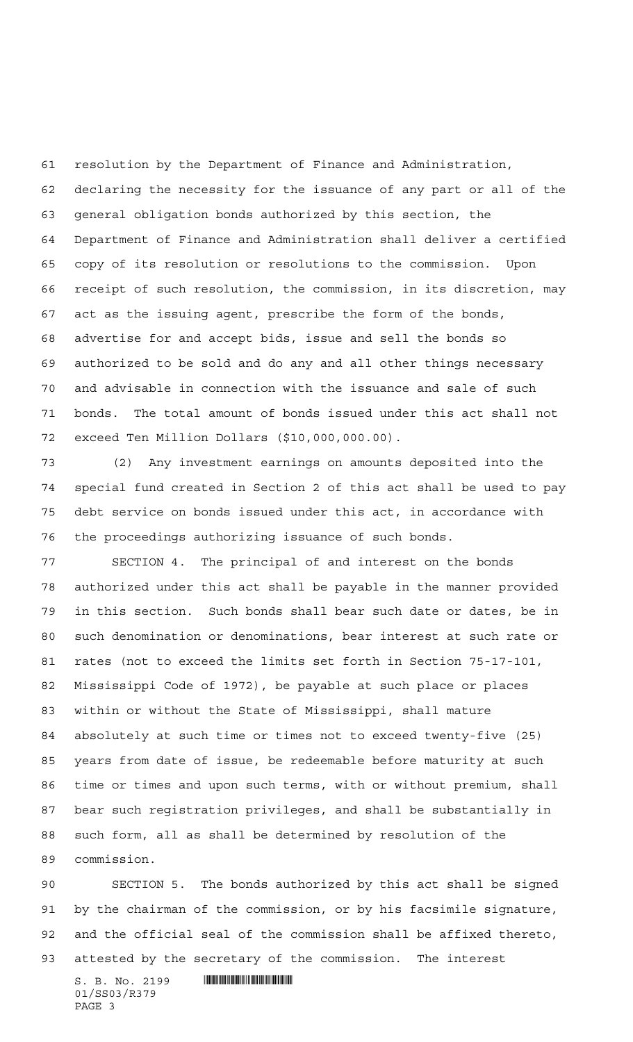resolution by the Department of Finance and Administration, declaring the necessity for the issuance of any part or all of the general obligation bonds authorized by this section, the Department of Finance and Administration shall deliver a certified copy of its resolution or resolutions to the commission. Upon receipt of such resolution, the commission, in its discretion, may act as the issuing agent, prescribe the form of the bonds, advertise for and accept bids, issue and sell the bonds so authorized to be sold and do any and all other things necessary and advisable in connection with the issuance and sale of such bonds. The total amount of bonds issued under this act shall not exceed Ten Million Dollars (\$10,000,000.00).

 (2) Any investment earnings on amounts deposited into the special fund created in Section 2 of this act shall be used to pay debt service on bonds issued under this act, in accordance with the proceedings authorizing issuance of such bonds.

 SECTION 4. The principal of and interest on the bonds authorized under this act shall be payable in the manner provided in this section. Such bonds shall bear such date or dates, be in such denomination or denominations, bear interest at such rate or rates (not to exceed the limits set forth in Section 75-17-101, Mississippi Code of 1972), be payable at such place or places within or without the State of Mississippi, shall mature absolutely at such time or times not to exceed twenty-five (25) years from date of issue, be redeemable before maturity at such time or times and upon such terms, with or without premium, shall bear such registration privileges, and shall be substantially in such form, all as shall be determined by resolution of the commission.

 SECTION 5. The bonds authorized by this act shall be signed by the chairman of the commission, or by his facsimile signature, and the official seal of the commission shall be affixed thereto, attested by the secretary of the commission. The interest

 $S. B. No. 2199$  . The set of  $\mathbb S$  and  $S. S. S. S.$ 01/SS03/R379 PAGE 3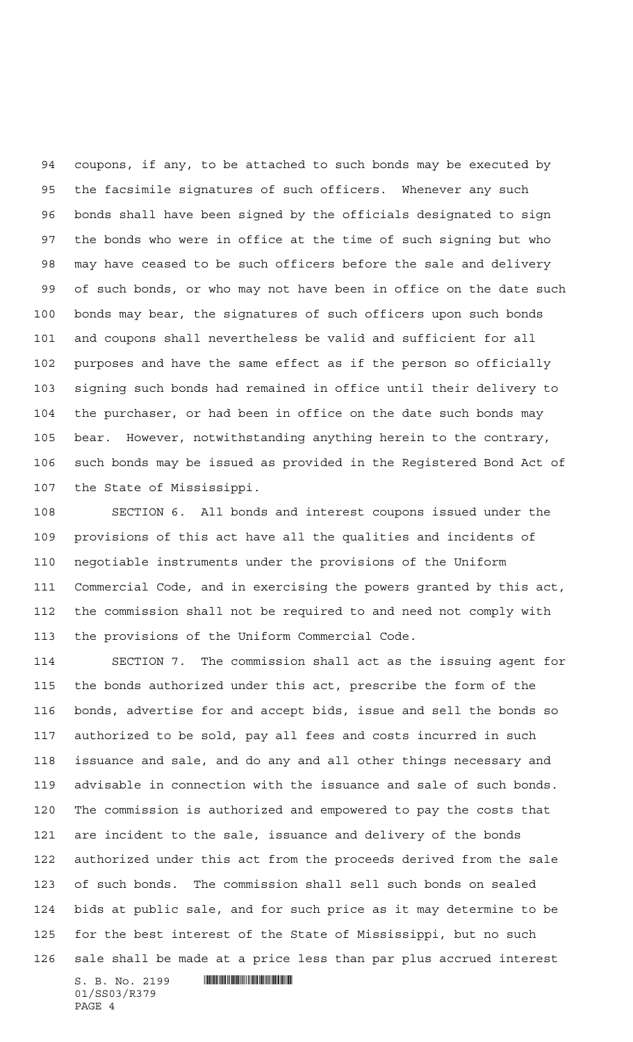coupons, if any, to be attached to such bonds may be executed by the facsimile signatures of such officers. Whenever any such bonds shall have been signed by the officials designated to sign the bonds who were in office at the time of such signing but who may have ceased to be such officers before the sale and delivery of such bonds, or who may not have been in office on the date such bonds may bear, the signatures of such officers upon such bonds and coupons shall nevertheless be valid and sufficient for all purposes and have the same effect as if the person so officially signing such bonds had remained in office until their delivery to the purchaser, or had been in office on the date such bonds may bear. However, notwithstanding anything herein to the contrary, such bonds may be issued as provided in the Registered Bond Act of the State of Mississippi.

 SECTION 6. All bonds and interest coupons issued under the provisions of this act have all the qualities and incidents of negotiable instruments under the provisions of the Uniform Commercial Code, and in exercising the powers granted by this act, the commission shall not be required to and need not comply with the provisions of the Uniform Commercial Code.

 SECTION 7. The commission shall act as the issuing agent for the bonds authorized under this act, prescribe the form of the bonds, advertise for and accept bids, issue and sell the bonds so authorized to be sold, pay all fees and costs incurred in such issuance and sale, and do any and all other things necessary and advisable in connection with the issuance and sale of such bonds. The commission is authorized and empowered to pay the costs that are incident to the sale, issuance and delivery of the bonds authorized under this act from the proceeds derived from the sale of such bonds. The commission shall sell such bonds on sealed bids at public sale, and for such price as it may determine to be for the best interest of the State of Mississippi, but no such sale shall be made at a price less than par plus accrued interest

S. B. No. 2199 \*SS03/R379\* 01/SS03/R379 PAGE 4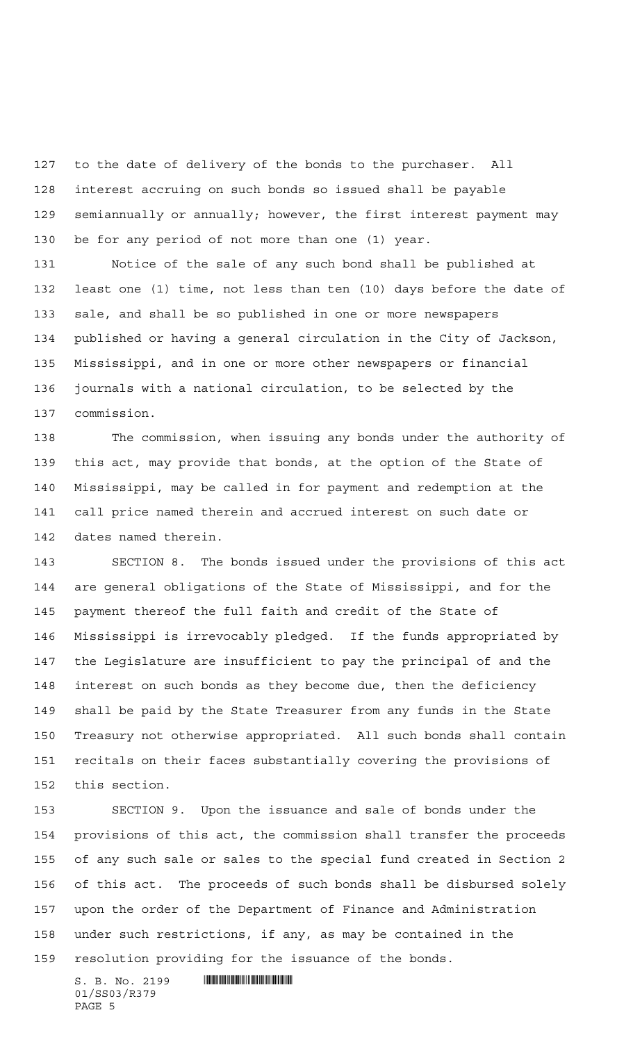to the date of delivery of the bonds to the purchaser. All interest accruing on such bonds so issued shall be payable semiannually or annually; however, the first interest payment may be for any period of not more than one (1) year.

 Notice of the sale of any such bond shall be published at least one (1) time, not less than ten (10) days before the date of sale, and shall be so published in one or more newspapers published or having a general circulation in the City of Jackson, Mississippi, and in one or more other newspapers or financial journals with a national circulation, to be selected by the commission.

 The commission, when issuing any bonds under the authority of this act, may provide that bonds, at the option of the State of Mississippi, may be called in for payment and redemption at the call price named therein and accrued interest on such date or dates named therein.

 SECTION 8. The bonds issued under the provisions of this act are general obligations of the State of Mississippi, and for the payment thereof the full faith and credit of the State of Mississippi is irrevocably pledged. If the funds appropriated by the Legislature are insufficient to pay the principal of and the interest on such bonds as they become due, then the deficiency shall be paid by the State Treasurer from any funds in the State Treasury not otherwise appropriated. All such bonds shall contain recitals on their faces substantially covering the provisions of this section.

 SECTION 9. Upon the issuance and sale of bonds under the provisions of this act, the commission shall transfer the proceeds of any such sale or sales to the special fund created in Section 2 of this act. The proceeds of such bonds shall be disbursed solely upon the order of the Department of Finance and Administration under such restrictions, if any, as may be contained in the resolution providing for the issuance of the bonds.

 $S. B. No. 2199$  . The set of  $\mathbb S$  and  $\mathbb S$  and  $\mathbb S$  and  $\mathbb S$  and  $\mathbb S$  and  $\mathbb S$  and  $\mathbb S$  and  $\mathbb S$  and  $\mathbb S$  and  $\mathbb S$  and  $\mathbb S$  and  $\mathbb S$  and  $\mathbb S$  and  $\mathbb S$  and  $\mathbb S$  and  $\mathbb S$  and  $\mathbb S$  and  $\mathbb S$  01/SS03/R379 PAGE 5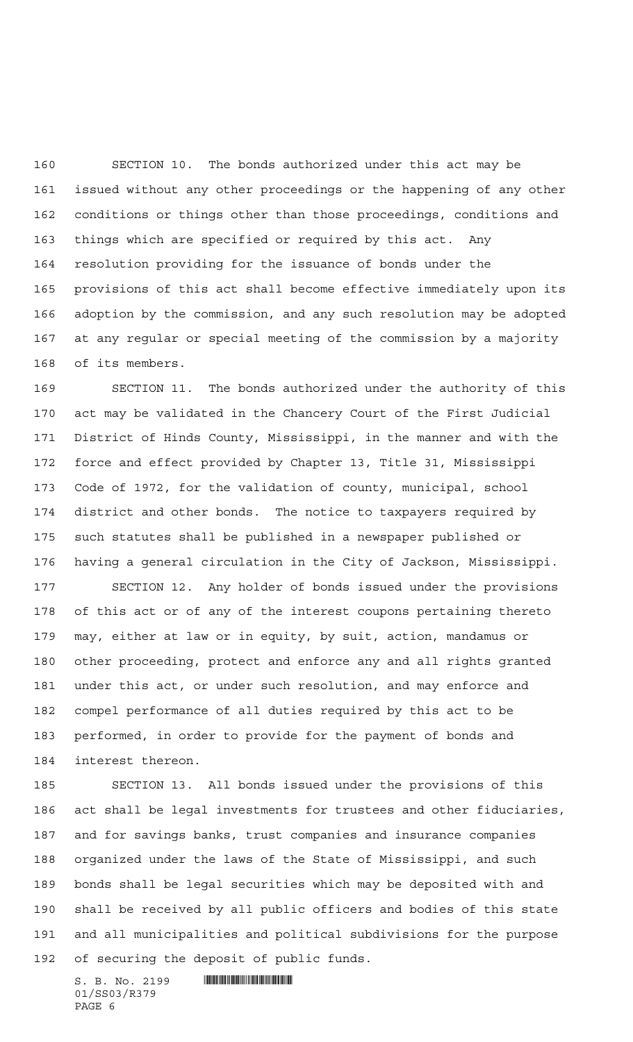SECTION 10. The bonds authorized under this act may be issued without any other proceedings or the happening of any other conditions or things other than those proceedings, conditions and things which are specified or required by this act. Any resolution providing for the issuance of bonds under the provisions of this act shall become effective immediately upon its adoption by the commission, and any such resolution may be adopted at any regular or special meeting of the commission by a majority of its members.

 SECTION 11. The bonds authorized under the authority of this act may be validated in the Chancery Court of the First Judicial District of Hinds County, Mississippi, in the manner and with the force and effect provided by Chapter 13, Title 31, Mississippi Code of 1972, for the validation of county, municipal, school district and other bonds. The notice to taxpayers required by such statutes shall be published in a newspaper published or having a general circulation in the City of Jackson, Mississippi.

 SECTION 12. Any holder of bonds issued under the provisions of this act or of any of the interest coupons pertaining thereto may, either at law or in equity, by suit, action, mandamus or other proceeding, protect and enforce any and all rights granted under this act, or under such resolution, and may enforce and compel performance of all duties required by this act to be performed, in order to provide for the payment of bonds and interest thereon.

 SECTION 13. All bonds issued under the provisions of this act shall be legal investments for trustees and other fiduciaries, and for savings banks, trust companies and insurance companies organized under the laws of the State of Mississippi, and such bonds shall be legal securities which may be deposited with and shall be received by all public officers and bodies of this state and all municipalities and political subdivisions for the purpose of securing the deposit of public funds.

 $S. B. No. 2199$  . The set of  $\mathbb S$  and  $S. S. S. S.$ 01/SS03/R379 PAGE 6